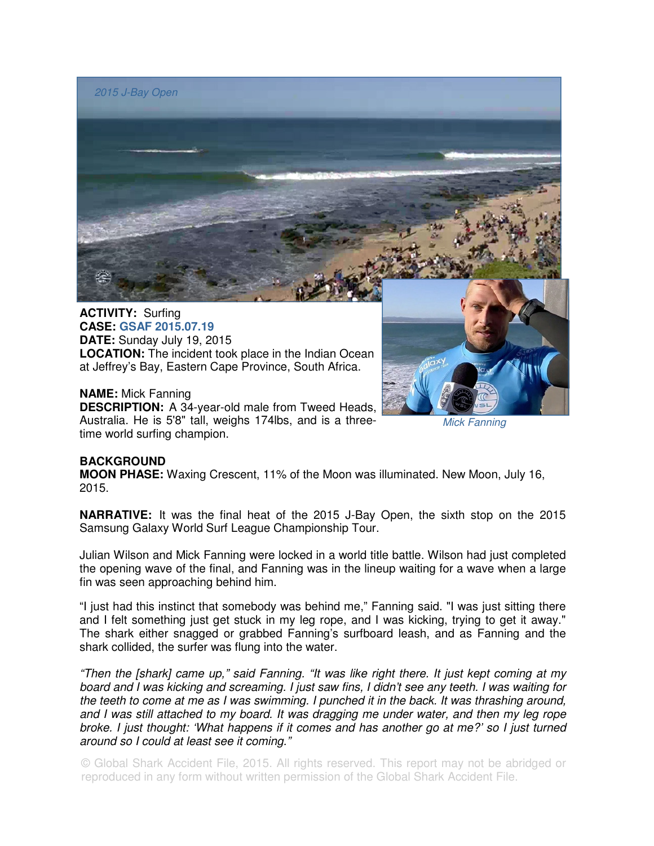

**CASE: GSAF 2015.07.19 DATE:** Sunday July 19, 2015 **LOCATION:** The incident took place in the Indian Ocean at Jeffrey's Bay, Eastern Cape Province, South Africa.

## **NAME:** Mick Fanning

**DESCRIPTION:** A 34-year-old male from Tweed Heads, Australia. He is 5'8" tall, weighs 174lbs, and is a threetime world surfing champion.

Mick Fanning

## **BACKGROUND**

**MOON PHASE:** Waxing Crescent, 11% of the Moon was illuminated. New Moon, July 16, 2015.

**NARRATIVE:** It was the final heat of the 2015 J-Bay Open, the sixth stop on the 2015 Samsung Galaxy World Surf League Championship Tour.

Julian Wilson and Mick Fanning were locked in a world title battle. Wilson had just completed the opening wave of the final, and Fanning was in the lineup waiting for a wave when a large fin was seen approaching behind him.

"I just had this instinct that somebody was behind me," Fanning said. "I was just sitting there and I felt something just get stuck in my leg rope, and I was kicking, trying to get it away." The shark either snagged or grabbed Fanning's surfboard leash, and as Fanning and the shark collided, the surfer was flung into the water.

"Then the [shark] came up," said Fanning. "It was like right there. It just kept coming at my board and I was kicking and screaming. I just saw fins, I didn't see any teeth. I was waiting for the teeth to come at me as I was swimming. I punched it in the back. It was thrashing around, and I was still attached to my board. It was dragging me under water, and then my leg rope broke. I just thought: 'What happens if it comes and has another go at me?' so I just turned around so I could at least see it coming."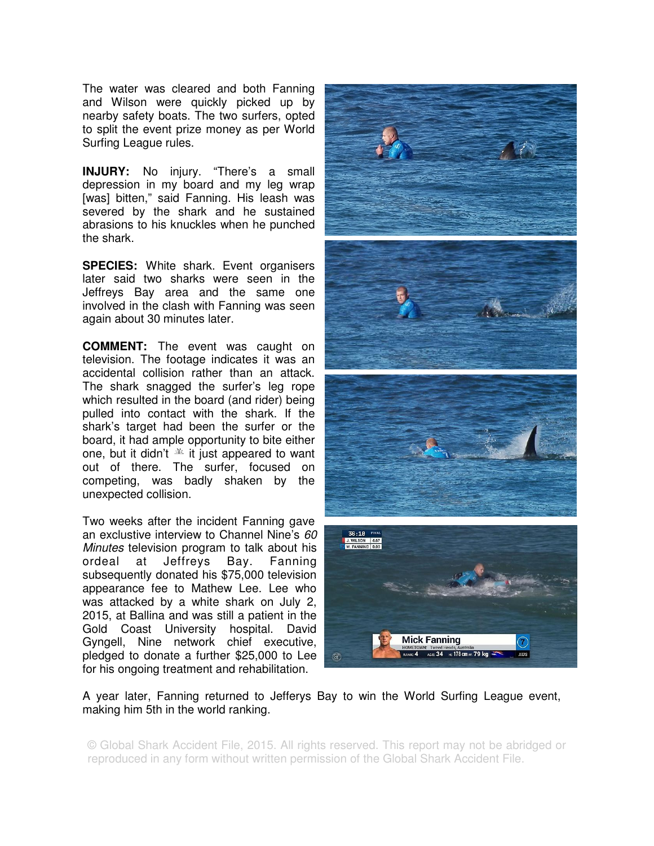The water was cleared and both Fanning and Wilson were quickly picked up by nearby safety boats. The two surfers, opted to split the event prize money as per World Surfing League rules.

**INJURY:** No injury. "There's a small depression in my board and my leg wrap [was] bitten," said Fanning. His leash was severed by the shark and he sustained abrasions to his knuckles when he punched the shark.

**SPECIES:** White shark. Event organisers later said two sharks were seen in the Jeffreys Bay area and the same one involved in the clash with Fanning was seen again about 30 minutes later.

**COMMENT:** The event was caught on television. The footage indicates it was an accidental collision rather than an attack. The shark snagged the surfer's leg rope which resulted in the board (and rider) being pulled into contact with the shark. If the shark's target had been the surfer or the board, it had ample opportunity to bite either one, but it didn't  $\triangleq$  it just appeared to want out of there. The surfer, focused on competing, was badly shaken by the unexpected collision.

Two weeks after the incident Fanning gave an exclustive interview to Channel Nine's 60 Minutes television program to talk about his ordeal at Jeffreys Bay. Fanning subsequently donated his \$75,000 television appearance fee to Mathew Lee. Lee who was attacked by a white shark on July 2, 2015, at Ballina and was still a patient in the Gold Coast University hospital. David Gyngell, Nine network chief executive, pledged to donate a further \$25,000 to Lee for his ongoing treatment and rehabilitation.



A year later, Fanning returned to Jefferys Bay to win the World Surfing League event, making him 5th in the world ranking.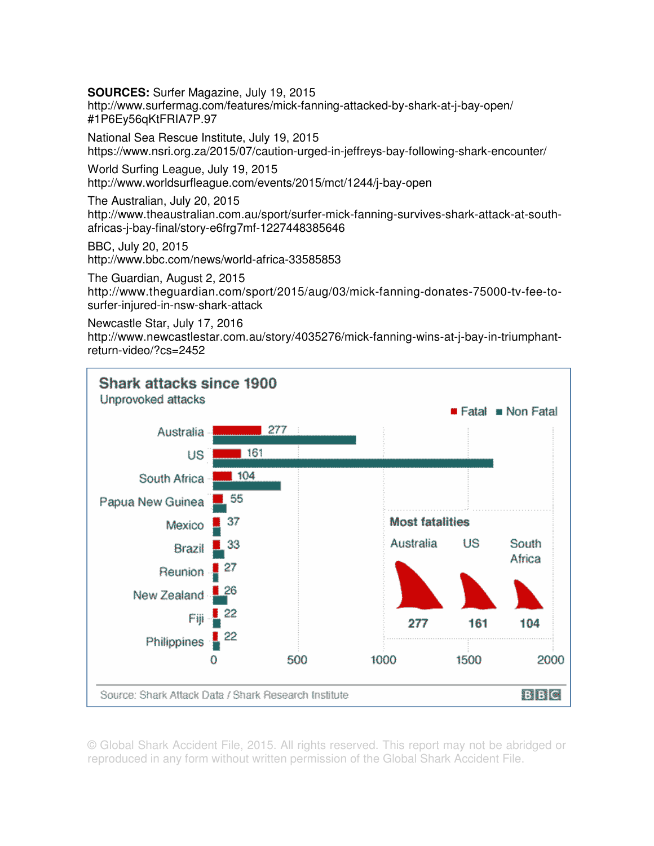**SOURCES:** Surfer Magazine, July 19, 2015

http://www.surfermag.com/features/mick-fanning-attacked-by-shark-at-j-bay-open/ #1P6Ey56qKtFRIA7P.97

National Sea Rescue Institute, July 19, 2015 https://www.nsri.org.za/2015/07/caution-urged-in-jeffreys-bay-following-shark-encounter/

World Surfing League, July 19, 2015 http://www.worldsurfleague.com/events/2015/mct/1244/j-bay-open

The Australian, July 20, 2015 http://www.theaustralian.com.au/sport/surfer-mick-fanning-survives-shark-attack-at-southafricas-j-bay-final/story-e6frg7mf-1227448385646

BBC, July 20, 2015 http://www.bbc.com/news/world-africa-33585853

The Guardian, August 2, 2015 http://www.theguardian.com/sport/2015/aug/03/mick-fanning-donates-75000-tv-fee-tosurfer-injured-in-nsw-shark-attack

Newcastle Star, July 17, 2016

http://www.newcastlestar.com.au/story/4035276/mick-fanning-wins-at-j-bay-in-triumphantreturn-video/?cs=2452